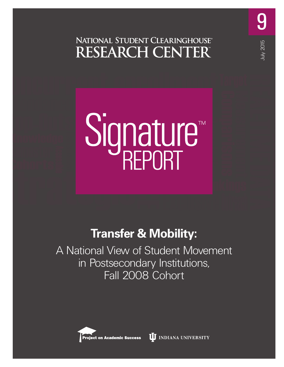

# Signature<sup>®</sup>

# **Transfer & Mobility:**

A National View of Student Movement in Postsecondary Institutions, Fall 2008 Cohort



9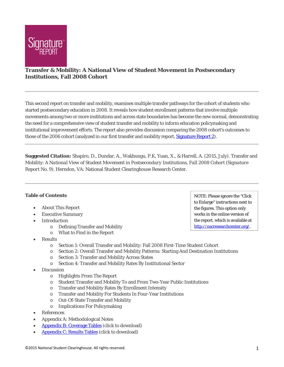

# **Transfer & Mobility: A National View of Student Movement in Postsecondary Institutions, Fall 2008 Cohort**

This second report on transfer and mobility, examines multiple transfer pathways for the cohort of students who started postsecondary education in 2008. It reveals how student enrollment patterns that involve multiple movements among two or more institutions and across state boundaries has become the new normal, demonstrating the need for a comprehensive view of student transfer and mobility to inform education policymaking and institutional improvement efforts. The report also provides discussion comparing the 2008 cohort's outcomes to those of the 2006 cohort (analyzed in our first transfer and mobility report, [Signature Report 2\)](http://nscresearchcenter.org/signaturereport2/).

**Suggested Citation:** Shapiro, D., Dundar, A., Wakhungu, P.K, Yuan, X., & Harrell, A. (2015, July). Transfer and Mobility: *A National View of Student Movement in Postsecondary Institutions, Fall 2008 Cohort (Signature Report No. 9).* Herndon, VA: National Student Clearinghouse Research Center.

### **Table of Contents**

- About This Report
- Executive Summary
- Introduction
	- o Defining Transfer and Mobility
	- o What to Find in the Report
- Results
	- o Section 1: Overall Transfer and Mobility: Fall 2008 First-Time Student Cohort
	- o Section 2: Overall Transfer and Mobility Patterns: Starting And Destination Institutions
	- o Section 3: Transfer and Mobility Across States
	- o Section 4: Transfer and Mobility Rates By Institutional Sector
- Discussion
	- o Highlights From The Report
	- o Student Transfer and Mobility To and From Two-Year Public Institutions
	- o Transfer and Mobility Rates By Enrollment Intensity
	- o Transfer and Mobility For Students In Four-Year Institutions
	- o Out-Of-State Transfer and Mobility
	- o Implications For Policymaking
- References
- Appendix A: Methodological Notes
- [Appendix B: Coverage Tables](http://nscresearchcenter.org/wp-content/uploads/Signature9AppendixB.xlsx) (click to download)
- [Appendix C: Results Tables](http://nscresearchcenter.org/wp-content/uploads/Signature9AppendixC.xlsx) (click to download)

NOTE: Please ignore the "Click to Enlarge" instructions next to the figures. This option only works in the online version of the report, which is available at http://nscresearchcenter.org/.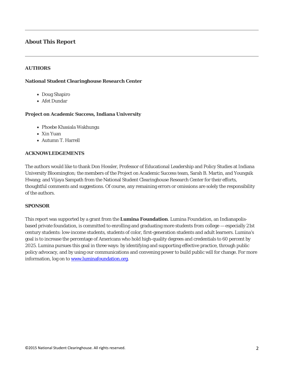# **About This Report**

#### **AUTHORS**

#### **National Student Clearinghouse Research Center**

- Doug Shapiro
- Afet Dundar

#### **Project on Academic Success, Indiana University**

- Phoebe Khasiala Wakhungu
- Xin Yuan
- Autumn T. Harrell

#### **ACKNOWLEDGEMENTS**

The authors would like to thank Don Hossler, Professor of Educational Leadership and Policy Studies at Indiana University Bloomington; the members of the Project on Academic Success team, Sarah B. Martin, and Youngsik Hwang; and Vijaya Sampath from the National Student Clearinghouse Research Center for their efforts, thoughtful comments and suggestions. Of course, any remaining errors or omissions are solely the responsibility of the authors.

#### **SPONSOR**

This report was supported by a grant from the **Lumina Foundation**. Lumina Foundation, an Indianapolisbased private foundation, is committed to enrolling and graduating more students from college — especially 21st century students: low-income students, students of color, first-generation students and adult learners. Lumina's goal is to increase the percentage of Americans who hold high-quality degrees and credentials to 60 percent by 2025. Lumina pursues this goal in three ways: by identifying and supporting effective practice, through public policy advocacy, and by using our communications and convening power to build public will for change. For more information, log on to www.luminafoundation.org.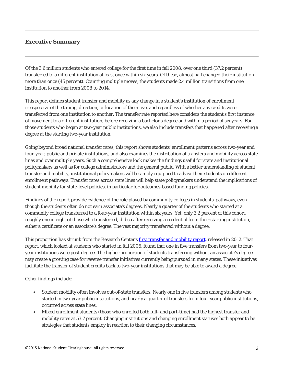# **Executive Summary**

Of the 3.6 million students who entered college for the first time in fall 2008, over one third (37.2 percent) transferred to a different institution at least once within six years. Of these, almost half changed their institution more than once (45 percent). Counting multiple moves, the students made 2.4 million transitions from one institution to another from 2008 to 2014.

This report defines student transfer and mobility as any change in a student's institution of enrollment irrespective of the timing, direction, or location of the move, and regardless of whether any credits were transferred from one institution to another. The transfer rate reported here considers the student's first instance of movement to a different institution, before receiving a bachelor's degree and within a period of six years. For those students who began at two-year public institutions, we also include transfers that happened after receiving a degree at the starting two-year institution.

Going beyond broad national transfer rates, this report shows students' enrollment patterns across two-year and four-year, public and private institutions, and also examines the distribution of transfers and mobility across state lines and over multiple years. Such a comprehensive look makes the findings useful for state and institutional policymakers as well as for college administrators and the general public. With a better understanding of student transfer and mobility, institutional policymakers will be amply equipped to advise their students on different enrollment pathways. Transfer rates across state lines will help state policymakers understand the implications of student mobility for state-level policies, in particular for outcomes-based funding policies.

Findings of the report provide evidence of the role played by community colleges in students' pathways, even though the students often do not earn associate's degrees. Nearly a quarter of the students who started at a community college transferred to a four-year institution within six years. Yet, only 3.2 percent of this cohort, roughly one in eight of those who transferred, did so after receiving a credential from their starting institution, either a certificate or an associate's degree. The vast majority transferred without a degree.

This proportion has shrunk from the Research Center's [first transfer and mobility report,](http://nscresearchcenter.org/signaturereport2/) released in 2012. That report, which looked at students who started in fall 2006, found that one in five transfers from two-year to fouryear institutions were post-degree. The higher proportion of students transferring without an associate's degree may create a growing case for reverse transfer initiatives currently being pursued in many states. These initiatives facilitate the transfer of student credits back to two-year institutions that may be able to award a degree.

Other findings include:

- Student mobility often involves out-of-state transfers. Nearly one in five transfers among students who started in two-year public institutions, and nearly a quarter of transfers from four-year public institutions, occurred across state lines.
- Mixed enrollment students (those who enrolled both full- and part-time) had the highest transfer and mobility rates at 53.7 percent. Changing institutions and changing enrollment statuses both appear to be strategies that students employ in reaction to their changing circumstances.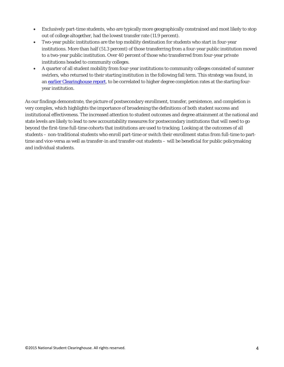- Exclusively part-time students, who are typically more geographically constrained and most likely to stop out of college altogether, had the lowest transfer rate (11.9 percent).
- Two-year public institutions are the top mobility destination for students who start in four-year institutions. More than half (51.3 percent) of those transferring from a four-year public institution moved to a two-year public institution. Over 40 percent of those who transferred from four-year private institutions headed to community colleges.
- A quarter of all student mobility from four-year institutions to community colleges consisted of summer swirlers, who returned to their starting institution in the following fall term. This strategy was found, in an [earlier Clearinghouse report,](http://nscresearchcenter.org/wp-content/uploads/NSC_Signature_Report_3.pdf) to be correlated to higher degree completion rates at the starting fouryear institution.

As our findings demonstrate, the picture of postsecondary enrollment, transfer, persistence, and completion is very complex, which highlights the importance of broadening the definitions of both student success and institutional effectiveness. The increased attention to student outcomes and degree attainment at the national and state levels are likely to lead to new accountability measures for postsecondary institutions that will need to go beyond the first-time full-time cohorts that institutions are used to tracking. Looking at the outcomes of all students – non-traditional students who enroll part-time or switch their enrollment status from full-time to parttime and vice-versa as well as transfer-in and transfer-out students – will be beneficial for public policymaking and individual students.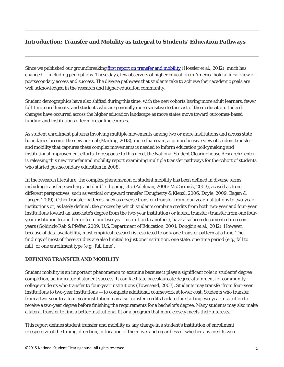# **Introduction: Transfer and Mobility as Integral to Students' Education Pathways**

Since we published our groundbreaking [first report on transfer and mobility \(](http://nscresearchcenter.org/signaturereport2/)Hossler et al., 2012), much has changed — including perceptions. These days, few observers of higher education in America hold a linear view of postsecondary access and success. The diverse pathways that students take to achieve their academic goals are well acknowledged in the research and higher education community.

Student demographics have also shifted during this time, with the new cohorts having more adult learners, fewer full-time enrollments, and students who are generally more sensitive to the cost of their education. Indeed, changes have occurred across the higher education landscape as more states move toward outcomes-based funding and institutions offer more online courses.

As student enrollment patterns involving multiple movements among two or more institutions and across state boundaries become the new normal (Marling, 2013), more than ever, a comprehensive view of student transfer and mobility that captures these complex movements is needed to inform education policymaking and institutional improvement efforts. In response to this need, the National Student Clearinghouse Research Center is releasing this new transfer and mobility report examining multiple transfer pathways for the cohort of students who started postsecondary education in 2008.

In the research literature, the complex phenomenon of student mobility has been defined in diverse terms, including transfer, swirling, and double-dipping, etc. (Adelman, 2006; McCormick, 2003), as well as from different perspectives, such as vertical or upward transfer (Dougherty & Kienzl, 2006; Doyle, 2009; Eagan & Jaeger, 2009). Other transfer patterns, such as reverse transfer (transfer from four-year institutions to two-year institutions or, as lately defined, the process by which students combine credits from both two-year and four-year institutions toward an associate's degree from the two-year institution) or lateral transfer (transfer from one fouryear institution to another or from one two-year institution to another), have also been documented in recent years (Goldrick-Rab & Pfeffer, 2009; U.S. Department of Education, 2001; Dongbin et al., 2012). However, because of data availability, most empirical research is restricted to only one transfer pattern at a time. The findings of most of these studies are also limited to just one institution, one state, one time period (e.g., fall to fall), or one enrollment type (e.g., full time).

### **DEFINING TRANSFER AND MOBILITY**

Student mobility is an important phenomenon to examine because it plays a significant role in students' degree completion, an indicator of student success. It can facilitate baccalaureate degree attainment for community college students who transfer to four-year institutions (Townsend, 2007). Students may transfer from four-year institutions to two-year institutions — to complete additional coursework at lower cost. Students who transfer from a two-year to a four-year institution may also transfer credits back to the starting two-year institution to receive a two-year degree before finishing the requirements for a bachelor's degree. Many students may also make a lateral transfer to find a better institutional fit or a program that more closely meets their interests.

This report defines student transfer and mobility as any change in a student's institution of enrollment irrespective of the timing, direction, or location of the move, and regardless of whether any credits were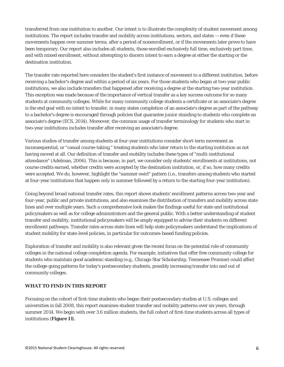transferred from one institution to another. Our intent is to illustrate the complexity of student movement among institutions. The report includes transfer and mobility across institutions, sectors, and states — even if these movements happen over summer terms, after a period of nonenrollment, or if the movements later prove to have been temporary. Our report also includes all students, those enrolled exclusively full time, exclusively part time, and with mixed enrollment, without attempting to discern intent to earn a degree at either the starting or the destination institution.

The transfer rate reported here considers the student's first instance of movement to a different institution, before receiving a bachelor's degree and within a period of six years. For those students who began at two-year public institutions, we also include transfers that happened after receiving a degree at the starting two-year institution. This exception was made because of the importance of vertical transfer as a key success outcome for so many students at community colleges. While for many community college students a certificate or an associate's degree is the end goal with no intent to transfer, in many states completion of an associate's degree as part of the pathway to a bachelor's degree is encouraged through policies that guarantee junior standing to students who complete an associate's degree (ECS, 2014). Moreover, the common usage of transfer terminology for students who start in two-year institutions includes transfer after receiving an associate's degree.

Various studies of transfer among students at four-year institutions consider short-term movement as inconsequential, or "casual course-taking," treating students who later return to the starting institution as not having moved at all. Our definition of transfer and mobility includes these types of "multi-institutional attendance" (Adelman, 2006). This is because, in part, we consider only students' enrollments at institutions, not course credits earned, whether credits were accepted by the destination institution, or, if so, how many credits were accepted. We do, however, highlight the "summer swirl" pattern (i.e., transfers among students who started at four-year institutions that happen only in summer followed by a return to the starting four-year institution).

Going beyond broad national transfer rates, this report shows students' enrollment patterns across two-year and four-year, public and private institutions, and also examines the distribution of transfers and mobility across state lines and over multiple years. Such a comprehensive look makes the findings useful for state and institutional policymakers as well as for college administrators and the general public. With a better understanding of student transfer and mobility, institutional policymakers will be amply equipped to advise their students on different enrollment pathways. Transfer rates across state lines will help state policymakers understand the implications of student mobility for state-level policies, in particular for outcomes-based funding policies.

Exploration of transfer and mobility is also relevant given the recent focus on the potential role of community colleges in the national college completion agenda. For example, initiatives that offer free community college for students who maintain good academic standing (e.g., Chicago Star Scholarship, Tennessee Promise) could affect the college-going patterns for today's postsecondary students, possibly increasing transfer into and out of community colleges.

# **WHAT TO FIND IN THIS REPORT**

Focusing on the cohort of first-time students who began their postsecondary studies at U.S. colleges and universities in fall 2008, this report examines student transfer and mobility patterns over six years, through summer 2014. We begin with over 3.6 million students, the full cohort of first-time students across all types of institutions (**Figure I1**).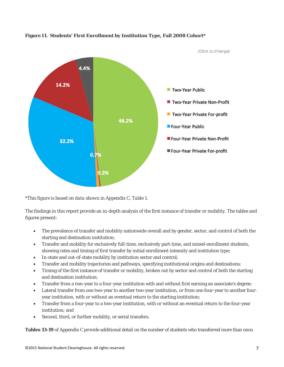

**Figure I1. Students' First Enrollment by Institution Type, Fall 2008 Cohort\***

*\*This figure is based on data shown in Appendix C, Table 1.*

The findings in this report provide an in-depth analysis of the first instance of transfer or mobility. The tables and figures present:

- The prevalence of transfer and mobility nationwide overall and by gender, sector, and control of both the starting and destination institution;
- Transfer and mobility for exclusively full-time, exclusively part-time, and mixed-enrollment students, showing rates and timing of first transfer by initial enrollment intensity and institution type;
- In-state and out-of-state mobility by institution sector and control;
- Transfer and mobility trajectories and pathways, specifying institutional origins and destinations;
- Timing of the first instance of transfer or mobility, broken out by sector and control of both the starting and destination institution;
- Transfer from a two-year to a four-year institution with and without first earning an associate's degree;
- Lateral transfer from one two-year to another two-year institution, or from one four-year to another fouryear institution, with or without an eventual return to the starting institution;
- Transfer from a four-year to a two-year institution, with or without an eventual return to the four-year institution; and
- Second, third, or further mobility, or serial transfers.

**Tables 13-19** of Appendix C provide additional detail on the number of students who transferred more than once.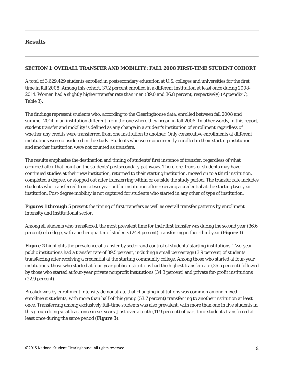# **Results**

### **SECTION 1: OVERALL TRANSFER AND MOBILITY: FALL 2008 FIRST-TIME STUDENT COHORT**

A total of 3,629,429 students enrolled in postsecondary education at U.S. colleges and universities for the first time in fall 2008. Among this cohort, 37.2 percent enrolled in a different institution at least once during 2008- 2014. Women had a slightly higher transfer rate than men (39.0 and 36.8 percent, respectively) (Appendix C, Table 3).

The findings represent students who, according to the Clearinghouse data, enrolled between fall 2008 and summer 2014 in an institution different from the one where they began in fall 2008. In other words, in this report, student transfer and mobility is defined as any change in a student's institution of enrollment regardless of whether any credits were transferred from one institution to another. Only consecutive enrollments at different institutions were considered in the study. Students who were concurrently enrolled in their starting institution and another institution were not counted as transfers.

The results emphasize the destination and timing of students' first instance of transfer, regardless of what occurred after that point on the students' postsecondary pathways. Therefore, transfer students may have continued studies at their new institution, returned to their starting institution, moved on to a third institution, completed a degree, or stopped out after transferring within or outside the study period. The transfer rate includes students who transferred from a two-year public institution after receiving a credential at the starting two-year institution. Post-degree mobility is not captured for students who started in any other of type of institution.

**Figures 1 through 5** present the timing of first transfers as well as overall transfer patterns by enrollment intensity and institutional sector.

Among all students who transferred, the most prevalent time for their first transfer was during the second year (36.6 percent) of college, with another quarter of students (24.4 percent) transferring in their third year (**Figure 1**).

**Figure 2** highlights the prevalence of transfer by sector and control of students' starting institutions. Two-year public institutions had a transfer rate of 39.5 percent, including a small percentage (3.9 percent) of students transferring after receiving a credential at the starting community college. Among those who started at four-year institutions, those who started at four-year public institutions had the highest transfer rate (36.5 percent) followed by those who started at four-year private nonprofit institutions (34.3 percent) and private for-profit institutions (22.9 percent).

Breakdowns by enrollment intensity demonstrate that changing institutions was common among mixedenrollment students, with more than half of this group (53.7 percent) transferring to another institution at least once. Transferring among exclusively full-time students was also prevalent, with more than one in five students in this group doing so at least once in six years. Just over a tenth (11.9 percent) of part-time students transferred at least once during the same period (**Figure 3**).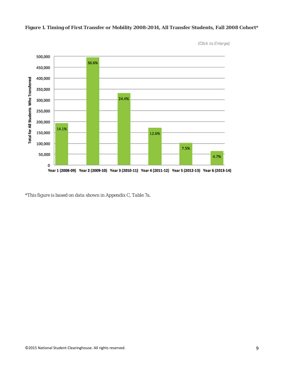

**Figure 1. Timing of First Transfer or Mobility 2008-2014, All Transfer Students, Fall 2008 Cohort\***

*\*This figure is based on data shown in Appendix C, Table 7a.*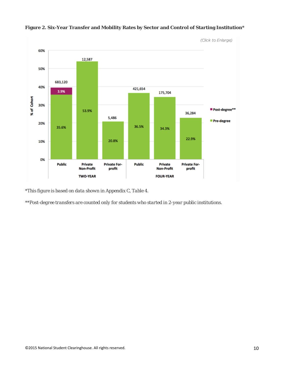

#### **Figure 2. Six-Year Transfer and Mobility Rates by Sector and Control of Starting Institution\***

*\*This figure is based on data shown in Appendix C, Table 4.*

*\*\*Post-degree transfers are counted only for students who started in 2-year public institutions.*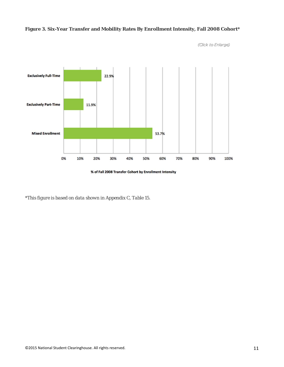

# **Figure 3. Six-Year Transfer and Mobility Rates By Enrollment Intensity, Fall 2008 Cohort\***

(Click to Enlarge)

% of Fall 2008 Transfer Cohort by Enrollment Intensity

*\*This figure is based on data shown in Appendix C, Table 15.*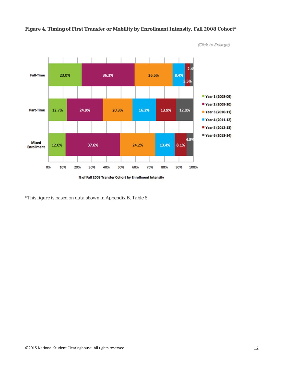

# **Figure 4. Timing of First Transfer or Mobility by Enrollment Intensity, Fall 2008 Cohort\***

*\*This figure is based on data shown in Appendix B, Table 8.*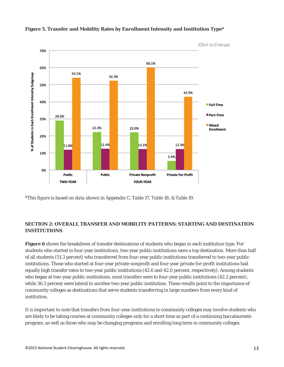

# **Figure 5. Transfer and Mobility Rates by Enrollment Intensity and Institution Type\***

*\*This figure is based on data shown in Appendix C, Table 17, Table 18, & Table 19.*

# **SECTION 2: OVERALL TRANSFER AND MOBILITY PATTERNS: STARTING AND DESTINATION INSTITUTIONS**

**Figure 6** shows the breakdown of transfer destinations of students who began in each institution type. For students who started in four-year institutions, two-year public institutions were a top destination. More than half of all students (51.3 percent) who transferred from four-year public institutions transferred to two-year public institutions. Those who started at four-year private nonprofit and four-year private for-profit institutions had equally high transfer rates to two-year public institutions (42.6 and 42.0 percent, respectively). Among students who began at two-year public institutions, most transfers were to four-year public institutions (42.2 percent), while 36.5 percent were lateral to another two-year public institution. These results point to the importance of community colleges as destinations that serve students transferring in large numbers from every kind of institution.

It is important to note that transfers from four-year institutions to community colleges may involve students who are likely to be taking courses at community colleges only for a short time as part of a continuing baccalaureate program, as well as those who may be changing programs and enrolling long term in community colleges.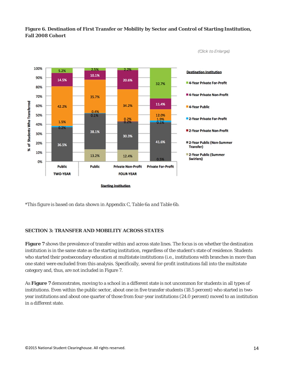# **Figure 6. Destination of First Transfer or Mobility by Sector and Control of Starting Institution, Fall 2008 Cohort**



(Click to Enlarge)

*\*This figure is based on data shown in Appendix C, Table 6a and Table 6b.*

### **SECTION 3: TRANSFER AND MOBILITY ACROSS STATES**

**Figure 7** shows the prevalence of transfer within and across state lines. The focus is on whether the destination institution is in the same state as the starting institution, regardless of the student's state of residence. Students who started their postsecondary education at multistate institutions (i.e., institutions with branches in more than one state) were excluded from this analysis. Specifically, several for-profit institutions fall into the multistate category and, thus, are not included in Figure 7.

As **Figure 7** demonstrates, moving to a school in a different state is not uncommon for students in all types of institutions. Even within the public sector, about one in five transfer students (18.5 percent) who started in twoyear institutions and about one quarter of those from four-year institutions (24.0 percent) moved to an institution in a different state.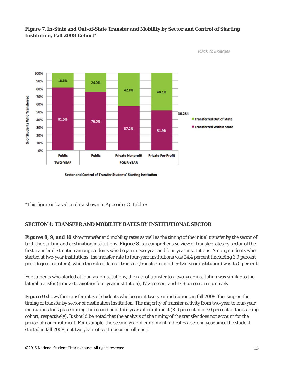**Figure 7. In-State and Out-of-State Transfer and Mobility by Sector and Control of Starting Institution, Fall 2008 Cohort\***



(Click to Enlarge)

*\*This figure is based on data shown in Appendix C, Table 9.*

# **SECTION 4: TRANSFER AND MOBILITY RATES BY INSTITUTIONAL SECTOR**

**Figures 8, 9, and 10** show transfer and mobility rates as well as the timing of the initial transfer by the sector of both the starting and destination institutions. **Figure 8** is a comprehensive view of transfer rates by sector of the first transfer destination among students who began in two-year and four-year institutions. Among students who started at two-year institutions, the transfer rate to four-year institutions was 24.4 percent (including 3.9 percent post-degree transfers), while the rate of lateral transfer (transfer to another two-year institution) was 15.0 percent.

For students who started at four-year institutions, the rate of transfer to a two-year institution was similar to the lateral transfer (a move to another four-year institution), 17.2 percent and 17.9 percent, respectively.

**Figure 9** shows the transfer rates of students who began at two-year institutions in fall 2008, focusing on the timing of transfer by sector of destination institution. The majority of transfer activity from two-year to four-year institutions took place during the second and third years of enrollment (8.6 percent and 7.0 percent of the starting cohort, respectively). It should be noted that the analysis of the timing of the transfer does not account for the period of nonenrollment. For example, the second year of enrollment indicates a second year since the student started in fall 2008, not two years of continuous enrollment.

Sector and Control of Transfer Students' Starting Institution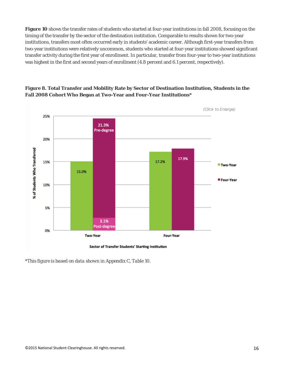**Figure 10** shows the transfer rates of students who started at four-year institutions in fall 2008, focusing on the timing of the transfer by the sector of the destination institution. Comparable to results shown for two-year institutions, transfers most often occurred early in students' academic career. Although first-year transfers from two-year institutions were relatively uncommon, students who started at four-year institutions showed significant transfer activity during the first year of enrollment. In particular, transfer from four-year to two-year institutions was highest in the first and second years of enrollment (4.8 percent and 6.1 percent, respectively).

# **Figure 8. Total Transfer and Mobility Rate by Sector of Destination Institution, Students in the Fall 2008 Cohort Who Began at Two-Year and Four-Year Institutions\***



*\*This figure is based on data shown in Appendix C, Table 10.*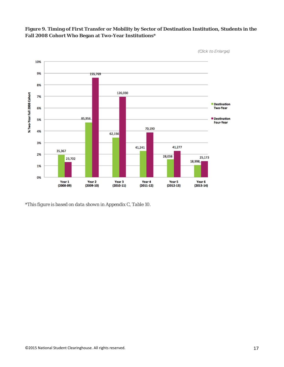

**Figure 9. Timing of First Transfer or Mobility by Sector of Destination Institution, Students in the Fall 2008 Cohort Who Began at Two-Year Institutions\***

*\*This figure is based on data shown in Appendix C, Table 10.*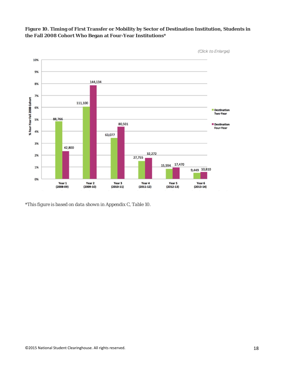

**Figure 10. Timing of First Transfer or Mobility by Sector of Destination Institution, Students in the Fall 2008 Cohort Who Began at Four-Year Institutions\***

*\*This figure is based on data shown in Appendix C, Table 10.*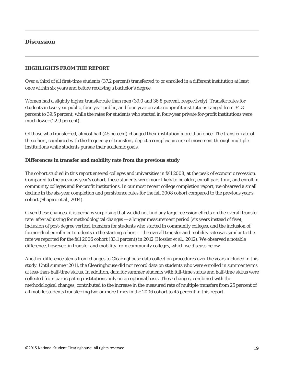# **Discussion**

#### **HIGHLIGHTS FROM THE REPORT**

Over a third of all first-time students (37.2 percent) transferred to or enrolled in a different institution at least once within six years and before receiving a bachelor's degree.

Women had a slightly higher transfer rate than men (39.0 and 36.8 percent, respectively). Transfer rates for students in two-year public, four-year public, and four-year private nonprofit institutions ranged from 34.3 percent to 39.5 percent, while the rates for students who started in four-year private for-profit institutions were much lower (22.9 percent).

Of those who transferred, almost half (45 percent) changed their institution more than once. The transfer rate of the cohort, combined with the frequency of transfers, depict a complex picture of movement through multiple institutions while students pursue their academic goals.

### **Differences in transfer and mobility rate from the previous study**

The cohort studied in this report entered colleges and universities in fall 2008, at the peak of economic recession. Compared to the previous year's cohort, these students were more likely to be older, enroll part-time, and enroll in community colleges and for-profit institutions. In our most recent college completion report, we observed a small decline in the six-year completion and persistence rates for the fall 2008 cohort compared to the previous year's cohort (Shapiro et al., 2014).

Given these changes, it is perhaps surprising that we did not find any large recession effects on the overall transfer rate: after adjusting for methodological changes — a longer measurement period (six years instead of five), inclusion of post-degree vertical transfers for students who started in community colleges, and the inclusion of former dual enrollment students in the starting cohort — the overall transfer and mobility rate was similar to the rate we reported for the fall 2006 cohort (33.1 percent) in 2012 (Hossler et al., 2012). We observed a notable difference, however, in transfer and mobility from community colleges, which we discuss below.

Another difference stems from changes to Clearinghouse data collection procedures over the years included in this study. Until summer 2011, the Clearinghouse did not record data on students who were enrolled in summer terms at less-than-half-time status. In addition, data for summer students with full-time status and half-time status were collected from participating institutions only on an optional basis. These changes, combined with the methodological changes, contributed to the increase in the measured rate of multiple transfers from 25 percent of all mobile students transferring two or more times in the 2006 cohort to 45 percent in this report.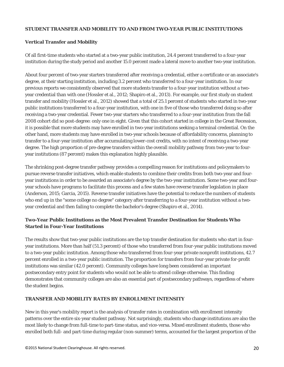#### **STUDENT TRANSFER AND MOBILITY TO AND FROM TWO-YEAR PUBLIC INSTITUTIONS**

# **Vertical Transfer and Mobility**

Of all first-time students who started at a two-year public institution, 24.4 percent transferred to a four-year institution during the study period and another 15.0 percent made a lateral move to another two-year institution.

About four percent of two-year starters transferred after receiving a credential, either a certificate or an associate's degree, at their starting institution, including 3.2 percent who transferred to a four-year institution. In our previous reports we consistently observed that more students transfer to a four-year institution without a twoyear credential than with one (Hossler et al., 2012; Shapiro et al., 2013). For example, our first study on student transfer and mobility (Hossler et al., 2012) showed that a total of 25.1 percent of students who started in two-year public institutions transferred to a four-year institution, with one in five of those who transferred doing so after receiving a two-year credential. Fewer two-year starters who transferred to a four-year institution from the fall 2008 cohort did so post-degree: only one in eight. Given that this cohort started in college in the Great Recession, it is possible that more students may have enrolled in two-year institutions seeking a terminal credential. On the other hand, more students may have enrolled in two-year schools because of affordability concerns, planning to transfer to a four-year institution after accumulating lower-cost credits, with no intent of receiving a two-year degree. The high proportion of pre-degree transfers within the overall mobility pathway from two-year to fouryear institutions (87 percent) makes this explanation highly plausible.

The shrinking post-degree transfer pathway provides a compelling reason for institutions and policymakers to pursue reverse transfer initiatives, which enable students to combine their credits from both two-year and fouryear institutions in order to be awarded an associate's degree by the two-year institution. Some two-year and fouryear schools have programs to facilitate this process and a few states have reverse transfer legislation in place (Anderson, 2015; Garcia, 2015). Reverse transfer initiatives have the potential to reduce the numbers of students who end up in the "some college no degree" category after transferring to a four-year institution without a twoyear credential and then failing to complete the bachelor's degree (Shapiro et al., 2014).

# **Two-Year Public Institutions as the Most Prevalent Transfer Destination for Students Who Started in Four-Year Institutions**

The results show that two-year public institutions are the top transfer destination for students who start in fouryear institutions. More than half (51.3 percent) of those who transferred from four-year public institutions moved to a two-year public institution. Among those who transferred from four-year private nonprofit institutions, 42.7 percent enrolled in a two-year public institution. The proportion for transfers from four-year private for-profit institutions was similar (42.0 percent). Community colleges have long been considered an important postsecondary entry point for students who would not be able to attend college otherwise. This finding demonstrates that community colleges are also an essential part of postsecondary pathways, regardless of where the student begins.

### **TRANSFER AND MOBILITY RATES BY ENROLLMENT INTENSITY**

New in this year's mobility report is the analysis of transfer rates in combination with enrollment intensity patterns over the entire six-year student pathway. Not surprisingly, students who change institutions are also the most likely to change from full-time to part-time status, and vice-versa. Mixed enrollment students, those who enrolled both full- and part-time during regular (non-summer) terms, accounted for the largest proportion of the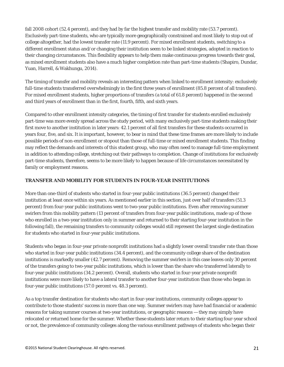fall 2008 cohort (52.4 percent), and they had by far the highest transfer and mobility rate (53.7 percent). Exclusively part-time students, who are typically more geographically constrained and most likely to stop out of college altogether, had the lowest transfer rate (11.9 percent). For mixed enrollment students, switching to a different enrollment status and/or changing their institution seem to be linked strategies, adopted in reaction to their changing circumstances. This flexibility appears to help them make continuous progress towards their goal, as mixed enrollment students also have a much higher completion rate than part-time students (Shapiro, Dundar, Yuan, Harrell, & Wakhungu, 2014).

The timing of transfer and mobility reveals an interesting pattern when linked to enrollment intensity: exclusively full-time students transferred overwhelmingly in the first three years of enrollment (85.8 percent of all transfers). For mixed enrollment students, higher proportions of transfers (a total of 61.8 percent) happened in the second and third years of enrollment than in the first, fourth, fifth, and sixth years.

Compared to other enrollment intensity categories, the timing of first transfer for students enrolled exclusively part-time was more evenly spread across the study period, with many exclusively part-time students making their first move to another institution in later years: 42.1 percent of all first transfers for these students occurred in years four, five, and six. It is important, however, to bear in mind that these time frames are more likely to include possible periods of non-enrollment or stopout than those of full-time or mixed enrollment students. This finding may reflect the demands and interests of this student group, who may often need to manage full-time employment in addition to attending college, stretching out their pathways to completion. Change of institutions for exclusively part-time students, therefore, seems to be more likely to happen because of life circumstances necessitated by family or employment reasons.

# **TRANSFER AND MOBILITY FOR STUDENTS IN FOUR-YEAR INSTITUTIONS**

More than one-third of students who started in four-year public institutions (36.5 percent) changed their institution at least once within six years. As mentioned earlier in this section, just over half of transfers (51.3 percent) from four-year public institutions went to two-year public institutions. Even after removing summer swirlers from this mobility pattern (13 percent of transfers from four-year public institutions, made up of those who enrolled in a two-year institution only in summer and returned to their starting four-year institution in the following fall), the remaining transfers to community colleges would still represent the largest single destination for students who started in four-year public institutions.

Students who began in four-year private nonprofit institutions had a slightly lower overall transfer rate than those who started in four-year public institutions (34.4 percent), and the community college share of the destination institutions is markedly smaller (42.7 percent). Removing the summer swirlers in this case leaves only 30 percent of the transfers going to two-year public institutions, which is lower than the share who transferred laterally to four-year public institutions (34.2 percent). Overall, students who started in four-year private nonprofit institutions were more likely to have a lateral transfer to another four-year institution than those who began in four-year public institutions (57.0 percent vs. 48.3 percent).

As a top transfer destination for students who start in four-year institutions, community colleges appear to contribute to those students' success in more than one way. Summer swirlers may have had financial or academic reasons for taking summer courses at two-year institutions, or geographic reasons — they may simply have relocated or returned home for the summer. Whether these students later return to their starting four-year school or not, the prevalence of community colleges along the various enrollment pathways of students who began their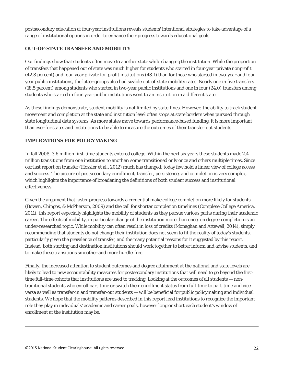postsecondary education at four-year institutions reveals students' intentional strategies to take advantage of a range of institutional options in order to enhance their progress towards educational goals.

# **OUT-OF-STATE TRANSFER AND MOBILITY**

Our findings show that students often move to another state while changing the institution. While the proportion of transfers that happened out of state was much higher for students who started in four-year private nonprofit (42.8 percent) and four-year private for-profit institutions (48.1) than for those who started in two-year and fouryear public institutions, the latter groups also had sizable out-of-state mobility rates. Nearly one in five transfers (18.5 percent) among students who started in two-year public institutions and one in four (24.0) transfers among students who started in four-year public institutions went to an institution in a different state.

As these findings demonstrate, student mobility is not limited by state-lines. However, the ability to track student movement and completion at the state and institution level often stops at state borders when pursued through state longitudinal data systems. As more states move towards performance-based funding, it is more important than ever for states and institutions to be able to measure the outcomes of their transfer-out students.

# **IMPLICATIONS FOR POLICYMAKING**

In fall 2008, 3.6 million first-time students entered college. Within the next six years these students made 2.4 million transitions from one institution to another: some transitioned only once and others multiple times. Since our last report on transfer (Hossler et al., 2012) much has changed: today few hold a linear view of college access and success. The picture of postsecondary enrollment, transfer, persistence, and completion is very complex, which highlights the importance of broadening the definitions of both student success and institutional effectiveness.

Given the argument that faster progress towards a credential make college completion more likely for students (Bowen, Chingos, & McPherson, 2009) and the call for shorter completion timelines (Complete College America, 2011), this report especially highlights the mobility of students as they pursue various paths during their academic career. The effects of mobility, in particular change of the institution more than once, on degree completion is an under-researched topic. While mobility can often result in loss of credits (Monaghan and Attewell, 2014), simply recommending that students do not change their institution does not seem to fit the reality of today's students, particularly given the prevalence of transfer, and the many potential reasons for it suggested by this report. Instead, both starting and destination institutions should work together to better inform and advise students, and to make these transitions smoother and more hurdle-free.

Finally, the increased attention to student outcomes and degree attainment at the national and state levels are likely to lead to new accountability measures for postsecondary institutions that will need to go beyond the firsttime full-time cohorts that institutions are used to tracking. Looking at the outcomes of all students — nontraditional students who enroll part-time or switch their enrollment status from full-time to part-time and viceversa as well as transfer-in and transfer-out students — will be beneficial for public policymaking and individual students. We hope that the mobility patterns described in this report lead institutions to recognize the important role they play in individuals' academic and career goals, however long or short each student's window of enrollment at the institution may be.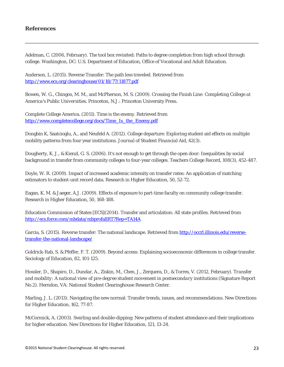# **References**

Adelman, C. (2006, February). The tool box revisited: Paths to degree completion from high school through college. Washington, DC: U.S. Department of Education, Office of Vocational and Adult Education.

Anderson, L. (2015). Reverse Transfer: The path less traveled. Retrieved from http://www.ecs.org/clearinghouse/01/18/77/11877.pdf

Bowen, W. G., Chingos, M. M., and McPherson, M. S. (2009). *Crossing the Finish Line: Completing College at America's Public Universities*. Princeton, N.J.: Princeton University Press.

Complete College America. (2011). Time is the enemy. Retrieved from http://www.completecollege.org/docs/Time\_Is\_the\_Enemy.pdf

Dongbin K, Saatcioglu, A., and Neufeld A. (2012). College departure: Exploring student aid effects on multiple mobility patterns from four year institutions. *Journal of Student Financial Aid, 42*(3).

Dougherty, K. J., & Kienzl, G. S. (2006). It's not enough to get through the open door: Inequalities by social background in transfer from community colleges to four-year colleges. Teachers College Record, 108(3), 452-487.

Doyle, W. R. (2009). Impact of increased academic intensity on transfer rates: An application of matching estimators to student-unit record data. Research in Higher Education, 50, 52-72.

Eagan, K. M. & Jaeger, A.J. (2009). Effects of exposure to part-time faculty on community college transfer. Research in Higher Education, 50, 168-188.

Education Commission of States [ECS](2014). Transfer and articulation: All state profiles. Retrieved from http://ecs.force.com/mbdata/mbprofallRT?Rep=TA14A

Garcia, S. (2015). Reverse transfer: The national landscape. Retrieved from http://occrl.illinois.edu/reversetransfer-the-national-landscape/

Goldrick-Rab, S. & Pfeffer, F. T. (2009). Beyond access: Explaining socioeconomic differences in college transfer. Sociology of Education, 82, 101-125.

Hossler, D., Shapiro, D., Dundar, A., Ziskin, M., Chen, J., Zerquera, D., & Torres, V. (2012, February). *Transfer and mobility: A national view of pre-degree student movement in postsecondary institutions* (Signature Report No.2). Herndon, VA: National Student Clearinghouse Research Center.

Marling, J. L. (2013). Navigating the new normal: Transfer trends, issues, and recommendations. New Directions for Higher Education, 162, 77-87.

McCormick, A. (2003). Swirling and double-dipping: New patterns of student attendance and their implications for higher education. New Directions for Higher Education, 121, 13-24.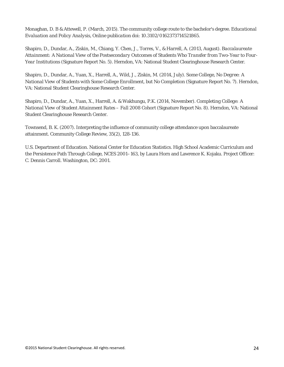Monaghan, D. B & Attewell, P. (March, 2015). The community college route to the bachelor's degree. *Educational Evaluation and Policy Analysis, Online publication* doi: 10.3102/0162373714521865.

Shapiro, D., Dundar, A., Ziskin, M., Chiang, Y. Chen, J., Torres, V., & Harrell, A. (2013, August). *Baccalaureate Attainment: A National View of the Postsecondary Outcomes of Students Who Transfer from Two-Year to Four-Year Institutions* (Signature Report No. 5). Herndon, VA: National Student Clearinghouse Research Center.

Shapiro, D., Dundar, A., Yuan, X., Harrell, A., Wild, J., Ziskin, M. (2014, July). *Some College, No Degree: A National View of Students with Some College Enrollment, but No Completion* (Signature Report No. 7). Herndon, VA: National Student Clearinghouse Research Center.

Shapiro, D., Dundar, A., Yuan, X., Harrell, A. & Wakhungu, P.K. (2014, November). *Completing College: A National View of Student Attainment Rates - Fall 2008 Cohort (Signature Report No. 8). Herndon, VA: National* Student Clearinghouse Research Center.

Townsend, B. K. (2007). Interpreting the influence of community college attendance upon baccalaureate attainment. Community College Review, 35(2), 128-136.

U.S. Department of Education. National Center for Education Statistics. High School Academic Curriculum and the Persistence Path Through College, NCES 2001–163, by Laura Horn and Lawrence K. Kojaku. Project Officer: C. Dennis Carroll. Washington, DC: 2001.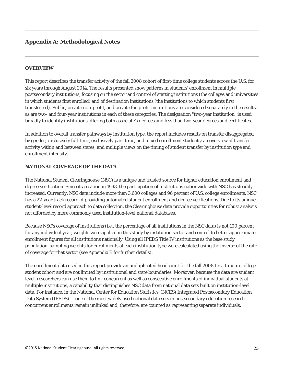# **Appendix A: Methodological Notes**

#### **OVERVIEW**

This report describes the transfer activity of the fall 2008 cohort of first-time college students across the U.S. for six years through August 2014. The results presented show patterns in students' enrollment in multiple postsecondary institutions, focusing on the sector and control of starting institutions (the colleges and universities in which students first enrolled) and of destination institutions (the institutions to which students first transferred). Public, private non-profit, and private for-profit institutions are considered separately in the results, as are two- and four-year institutions in each of these categories. The designation "two-year institution" is used broadly to identify institutions offering both associate's degrees and less than two-year degrees and certificates.

In addition to overall transfer pathways by institution type, the report includes results on transfer disaggregated by gender; exclusively full-time, exclusively part-time, and mixed enrollment students; an overview of transfer activity within and between states; and multiple views on the timing of student transfer by institution type and enrollment intensity.

# **NATIONAL COVERAGE OF THE DATA**

The National Student Clearinghouse (NSC) is a unique and trusted source for higher education enrollment and degree verification. Since its creation in 1993, the participation of institutions nationwide with NSC has steadily increased. Currently, NSC data include more than 3,600 colleges and 96 percent of U.S. college enrollments. NSC has a 22-year track record of providing automated student enrollment and degree verifications. Due to its unique student-level record approach to data collection, the Clearinghouse data provide opportunities for robust analysis not afforded by more commonly used institution-level national databases.

Because NSC's coverage of institutions (i.e., the percentage of all institutions in the NSC data) is not 100 percent for any individual year, weights were applied in this study by institution sector and control to better approximate enrollment figures for all institutions nationally. Using all IPEDS Title IV institutions as the base study population, sampling weights for enrollments at each institution type were calculated using the inverse of the rate of coverage for that sector (see Appendix B for further details).

The enrollment data used in this report provide an unduplicated headcount for the fall 2008 first-time-in-college student cohort and are not limited by institutional and state boundaries. Moreover, because the data are student level, researchers can use them to link concurrent as well as consecutive enrollments of individual students at multiple institutions, a capability that distinguishes NSC data from national data sets built on institution-level data. For instance, in the National Center for Education Statistics' (NCES) Integrated Postsecondary Education Data System (IPEDS) — one of the most widely used national data sets in postsecondary education research concurrent enrollments remain unlinked and, therefore, are counted as representing separate individuals.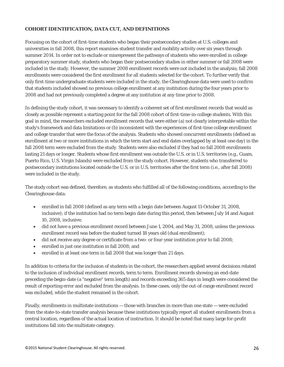# **COHORT IDENTIFICATION, DATA CUT, AND DEFINITIONS**

Focusing on the cohort of first-time students who began their postsecondary studies at U.S. colleges and universities in fall 2008, this report examines student transfer and mobility activity over six years through summer 2014. In order not to exclude or misrepresent the pathways of students who were enrolled in college preparatory summer study, students who began their postsecondary studies in either summer or fall 2008 were included in the study. However, the summer 2008 enrollment records were not included in the analysis; fall 2008 enrollments were considered the first enrollment for all students selected for the cohort. To further verify that only first-time undergraduate students were included in the study, the Clearinghouse data were used to confirm that students included showed no previous college enrollment at any institution during the four years prior to 2008 and had not previously completed a degree at any institution at any time prior to 2008.

In defining the study cohort, it was necessary to identify a coherent set of first enrollment records that would as closely as possible represent a starting point for the fall 2008 cohort of first-time-in-college students. With this goal in mind, the researchers excluded enrollment records that were either (a) not clearly interpretable within the study's framework and data limitations or (b) inconsistent with the experiences of first-time college enrollment and college transfer that were the focus of the analysis. Students who showed concurrent enrollments (defined as enrollment at two or more institutions in which the term start and end dates overlapped by at least one day) in the fall 2008 term were excluded from the study. Students were also excluded if they had no fall 2008 enrollments lasting 21 days or longer. Students whose first enrollment was outside the U.S. or in U.S. territories (e.g., Guam, Puerto Rico, U.S. Virgin Islands) were excluded from the study cohort. However, students who transferred to postsecondary institutions located outside the U.S. or in U.S. territories after the first term (i.e., after fall 2008) were included in the study.

The study cohort was defined, therefore, as students who fulfilled all of the following conditions, according to the Clearinghouse data:

- enrolled in fall 2008 (defined as any term with a begin date between August 11-October 31, 2008, inclusive); if the institution had no term begin date during this period, then between July 14 and August 10, 2008, inclusive;
- did not have a previous enrollment record between June 1, 2004, and May 31, 2008, unless the previous enrollment record was before the student turned 18 years old (dual enrollment);
- did not receive any degree or certificate from a two- or four-year institution prior to fall 2008;
- enrolled in just one institution in fall 2008; and
- enrolled in at least one term in fall 2008 that was longer than 21 days.

In addition to criteria for the inclusion of students in the cohort, the researchers applied several decisions related to the inclusion of individual enrollment records, term to term. Enrollment records showing an end-date preceding the begin-date (a "negative" term length) and records exceeding 365 days in length were considered the result of reporting error and excluded from the analysis. In these cases, only the out-of-range enrollment record was excluded, while the student remained in the cohort.

Finally, enrollments in multistate institutions — those with branches in more than one state — were excluded from the state-to-state transfer analysis because these institutions typically report all student enrollments from a central location, regardless of the actual location of instruction. It should be noted that many large for-profit institutions fall into the multistate category.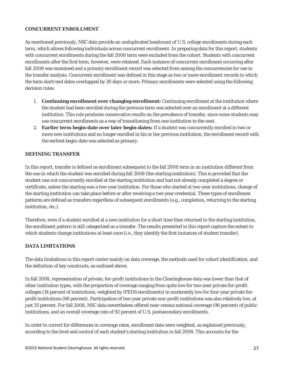#### **CONCURRENT ENROLLMENT**

As mentioned previously, NSC data provide an unduplicated headcount of U.S. college enrollments during each term, which allows following individuals across concurrent enrollment. In preparing data for this report, students with concurrent enrollments during the fall 2008 term were excluded from the cohort. Students with concurrent enrollments after the first term, however, were retained. Each instance of concurrent enrollment occurring after fall 2008 was examined and a primary enrollment record was selected from among the concurrencies for use in the transfer analysis. Concurrent enrollment was defined in this stage as two or more enrollment records in which the term start/end dates overlapped by 30 days or more. Primary enrollments were selected using the following decision rules:

- 1. **Continuing enrollment over changing enrollment:** Continuing enrollment at the institution where the student had been enrolled during the previous term was selected over an enrollment at a different institution. This rule produces conservative results on the prevalence of transfer, since some students may use concurrent enrollments as a way of transitioning from one institution to the next.
- 2. **Earlier term begin-date over later begin-dates:** If a student was concurrently enrolled in two or more new institutions and no longer enrolled in his or her previous institution, the enrollment record with the earliest begin-date was selected as primary.

### **DEFINING TRANSFER**

In this report, transfer is defined as enrollment subsequent to the fall 2008 term in an institution different from the one in which the student was enrolled during fall 2008 (the starting institution). This is provided that the student was not concurrently enrolled at the starting institution and had not already completed a degree or certificate, unless the starting was a two-year institution. For those who started at two-year institutions, change of the starting institution can take place before or after receiving a two-year credential. These types of enrollment patterns are defined as transfers regardless of subsequent enrollments (e.g., completion, returning to the starting institution, etc.).

Therefore, even if a student enrolled at a new institution for a short time then returned to the starting institution, the enrollment pattern is still categorized as a transfer. The results presented in this report capture the extent to which students change institutions at least once (i.e., they identify the first instances of student transfer).

### **DATA LIMITATIONS**

The data limitations in this report center mainly on data coverage, the methods used for cohort identification, and the definition of key constructs, as outlined above.

In fall 2008, representation of private, for-profit institutions in the Clearinghouse data was lower than that of other institution types, with the proportion of coverage ranging from quite low for two-year private for-profit colleges (14 percent of institutions, weighted by IPEDS enrollments) to moderately low for four-year private forprofit institutions (66 percent). Participation of two-year private non-profit institutions was also relatively low, at just 35 percent. For fall 2008, NSC data nevertheless offered near-census national coverage (96 percent) of public institutions, and an overall coverage rate of 92 percent of U.S. postsecondary enrollments.

In order to correct for differences in coverage rates, enrollment data were weighted, as explained previously, according to the level and control of each student's starting institution in fall 2008. This accounts for the